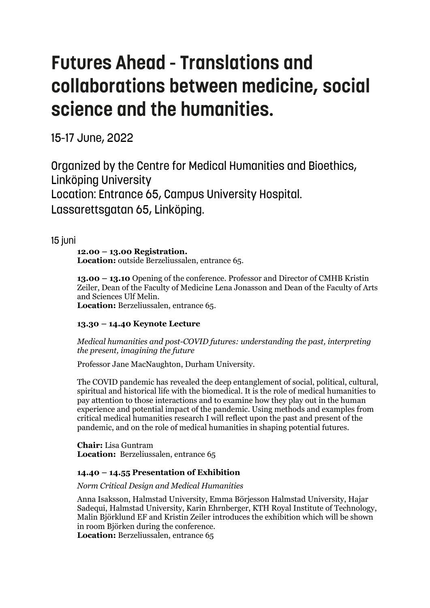# **Futures Ahead - Translations and** collaborations between medicine, social science and the humanities.

15-17 June, 2022

Organized by the Centre for Medical Humanities and Bioethics, **Linköping University** Location: Entrance 65, Campus University Hospital. Lassarettsgatan 65, Linköping.

15 juni

#### **12.00 – 13.00 Registration. Location:** outside Berzeliussalen, entrance 65.

**13.00 – 13.10** Opening of the conference. Professor and Director of CMHB Kristin Zeiler, Dean of the Faculty of Medicine Lena Jonasson and Dean of the Faculty of Arts and Sciences Ulf Melin.

**Location:** Berzeliussalen, entrance 65.

# **13.30 – 14.40 Keynote Lecture**

*Medical humanities and post-COVID futures: understanding the past, interpreting the present, imagining the future*

Professor Jane MacNaughton, Durham University.

The COVID pandemic has revealed the deep entanglement of social, political, cultural, spiritual and historical life with the biomedical. It is the role of medical humanities to pay attention to those interactions and to examine how they play out in the human experience and potential impact of the pandemic. Using methods and examples from critical medical humanities research I will reflect upon the past and present of the pandemic, and on the role of medical humanities in shaping potential futures.

**Chair:** Lisa Guntram **Location:** Berzeliussalen, entrance 65

# **14.40 – 14.55 Presentation of Exhibition**

*Norm Critical Design and Medical Humanities*

Anna Isaksson, Halmstad University, Emma Börjesson Halmstad University, Hajar Sadequi, Halmstad University, Karin Ehrnberger, KTH Royal Institute of Technology, Malin Björklund EF and Kristin Zeiler introduces the exhibition which will be shown in room Björken during the conference.

**Location:** Berzeliussalen, entrance 65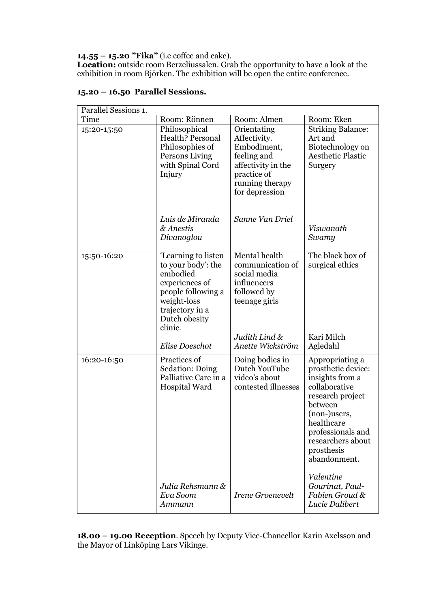#### **14.55 – 15.20 "Fika"** (i.e coffee and cake).

**Location:** outside room Berzeliussalen. Grab the opportunity to have a look at the exhibition in room Björken. The exhibition will be open the entire conference.

| Parallel Sessions 1. |                                                                                                                                                             |                                                                                                                                     |                                                                                                                                                                                                                |  |  |
|----------------------|-------------------------------------------------------------------------------------------------------------------------------------------------------------|-------------------------------------------------------------------------------------------------------------------------------------|----------------------------------------------------------------------------------------------------------------------------------------------------------------------------------------------------------------|--|--|
| Time                 | Room: Rönnen                                                                                                                                                | Room: Almen                                                                                                                         | Room: Eken                                                                                                                                                                                                     |  |  |
| 15:20-15:50          | Philosophical<br>Health? Personal<br>Philosophies of<br>Persons Living<br>with Spinal Cord<br>Injury                                                        | Orientating<br>Affectivity.<br>Embodiment,<br>feeling and<br>affectivity in the<br>practice of<br>running therapy<br>for depression | <b>Striking Balance:</b><br>Art and<br>Biotechnology on<br><b>Aesthetic Plastic</b><br>Surgery                                                                                                                 |  |  |
|                      | Luis de Miranda<br>& Anestis<br>Divanoglou                                                                                                                  | Sanne Van Driel                                                                                                                     | Viswanath<br>Swamy                                                                                                                                                                                             |  |  |
| 15:50-16:20          | 'Learning to listen<br>to your body': the<br>embodied<br>experiences of<br>people following a<br>weight-loss<br>trajectory in a<br>Dutch obesity<br>clinic. | Mental health<br>communication of<br>social media<br>influencers<br>followed by<br>teenage girls                                    | The black box of<br>surgical ethics                                                                                                                                                                            |  |  |
|                      | Elise Doeschot                                                                                                                                              | Judith Lind &<br>Anette Wickström                                                                                                   | Kari Milch<br>Agledahl                                                                                                                                                                                         |  |  |
| 16:20-16:50          | Practices of<br>Sedation: Doing<br>Palliative Care in a<br>Hospital Ward                                                                                    | Doing bodies in<br>Dutch YouTube<br>video's about<br>contested illnesses                                                            | Appropriating a<br>prosthetic device:<br>insights from a<br>collaborative<br>research project<br>between<br>(non-)users,<br>healthcare<br>professionals and<br>researchers about<br>prosthesis<br>abandonment. |  |  |
|                      | Julia Rehsmann &<br>Eva Soom<br>Ammann                                                                                                                      | <i>Irene Groenevelt</i>                                                                                                             | Valentine<br>Gourinat, Paul-<br>Fabien Groud &<br>Lucie Dalibert                                                                                                                                               |  |  |

#### **15.20 – 16.50 Parallel Sessions.**

**18.00 – 19.00 Reception**. Speech by Deputy Vice-Chancellor Karin Axelsson and the Mayor of Linköping Lars Vikinge.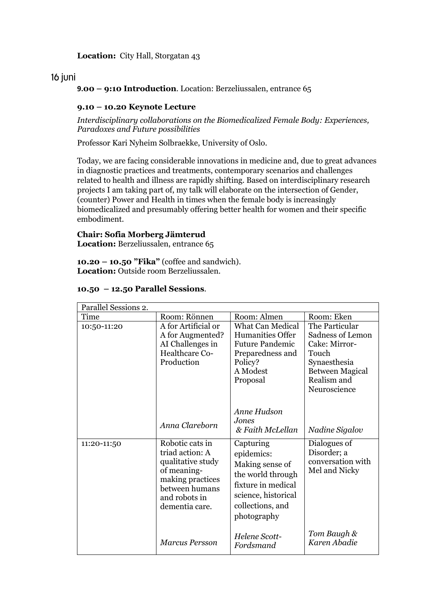**Location:** City Hall, Storgatan 43

# 16 juni

**9.00 – 9:10 Introduction**. Location: Berzeliussalen, entrance 65

#### **9.10 – 10.20 Keynote Lecture**

*Interdisciplinary collaborations on the Biomedicalized Female Body: Experiences, Paradoxes and Future possibilities* 

Professor Kari Nyheim Solbraekke, University of Oslo.

Today, we are facing considerable innovations in medicine and, due to great advances in diagnostic practices and treatments, contemporary scenarios and challenges related to health and illness are rapidly shifting. Based on interdisciplinary research projects I am taking part of, my talk will elaborate on the intersection of Gender, (counter) Power and Health in times when the female body is increasingly biomedicalized and presumably offering better health for women and their specific embodiment.

#### **Chair: Sofia Morberg Jämterud**

**Location:** Berzeliussalen, entrance 65

**10.20 – 10.50 "Fika"** (coffee and sandwich). **Location:** Outside room Berzeliussalen.

| Parallel Sessions 2. |                                                                                                                                                 |                                                                                                                                                 |                                                                                                                                       |  |
|----------------------|-------------------------------------------------------------------------------------------------------------------------------------------------|-------------------------------------------------------------------------------------------------------------------------------------------------|---------------------------------------------------------------------------------------------------------------------------------------|--|
| Time                 | Room: Rönnen                                                                                                                                    | Room: Almen                                                                                                                                     | Room: Eken                                                                                                                            |  |
| 10:50-11:20          | A for Artificial or<br>A for Augmented?<br>AI Challenges in<br>Healthcare Co-<br>Production                                                     | <b>What Can Medical</b><br>Humanities Offer<br><b>Future Pandemic</b><br>Preparedness and<br>Policy?<br>A Modest<br>Proposal                    | The Particular<br>Sadness of Lemon<br>Cake: Mirror-<br>Touch<br>Synaesthesia<br><b>Between Magical</b><br>Realism and<br>Neuroscience |  |
|                      | Anna Clareborn                                                                                                                                  | Anne Hudson<br>Jones<br>& Faith McLellan                                                                                                        | Nadine Sigalov                                                                                                                        |  |
| 11:20-11:50          | Robotic cats in<br>triad action: A<br>qualitative study<br>of meaning-<br>making practices<br>between humans<br>and robots in<br>dementia care. | Capturing<br>epidemics:<br>Making sense of<br>the world through<br>fixture in medical<br>science, historical<br>collections, and<br>photography | Dialogues of<br>Disorder; a<br>conversation with<br>Mel and Nicky                                                                     |  |
|                      | <b>Marcus Persson</b>                                                                                                                           | Helene Scott-<br>Fordsmand                                                                                                                      | Tom Baugh &<br>Karen Abadie                                                                                                           |  |

#### **10.50 – 12.50 Parallel Sessions**.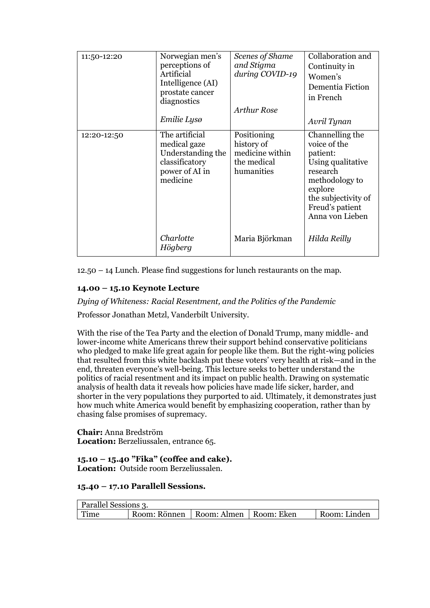| 11:50-12:20 | Norwegian men's<br>perceptions of<br>Artificial<br>Intelligence (AI)<br>prostate cancer<br>diagnostics<br>Emilie Lysø | Scenes of Shame<br>and Stigma<br>during COVID-19<br>Arthur Rose           | Collaboration and<br>Continuity in<br>Women's<br>Dementia Fiction<br>in French<br>Avril Tynan                                                                          |
|-------------|-----------------------------------------------------------------------------------------------------------------------|---------------------------------------------------------------------------|------------------------------------------------------------------------------------------------------------------------------------------------------------------------|
| 12:20-12:50 | The artificial<br>medical gaze<br>Understanding the<br>classificatory<br>power of AI in<br>medicine                   | Positioning<br>history of<br>medicine within<br>the medical<br>humanities | Channelling the<br>voice of the<br>patient:<br>Using qualitative<br>research<br>methodology to<br>explore<br>the subjectivity of<br>Freud's patient<br>Anna von Lieben |
|             | Charlotte<br>Högberg                                                                                                  | Maria Björkman                                                            | Hilda Reilly                                                                                                                                                           |

12.50 – 14 Lunch. Please find suggestions for lunch restaurants on the map.

#### **14.00 – 15.10 Keynote Lecture**

*Dying of Whiteness: Racial Resentment, and the Politics of the Pandemic*

Professor Jonathan Metzl, Vanderbilt University.

With the rise of the Tea Party and the election of Donald Trump, many middle- and lower-income white Americans threw their support behind conservative politicians who pledged to make life great again for people like them. But the right-wing policies that resulted from this white backlash put these voters' very health at risk—and in the end, threaten everyone's well-being. This lecture seeks to better understand the politics of racial resentment and its impact on public health. Drawing on systematic analysis of health data it reveals how policies have made life sicker, harder, and shorter in the very populations they purported to aid. Ultimately, it demonstrates just how much white America would benefit by emphasizing cooperation, rather than by chasing false promises of supremacy.

**Chair:** Anna Bredström **Location:** Berzeliussalen, entrance 65.

**15.10 – 15.40 "Fika" (coffee and cake). Location:** Outside room Berzeliussalen.

#### **15.40 – 17.10 Parallell Sessions.**

| Parallel Sessions 3. |                                         |  |  |              |
|----------------------|-----------------------------------------|--|--|--------------|
| $\mid$ Time          | Room: Rönnen   Room: Almen   Room: Eken |  |  | Room: Linden |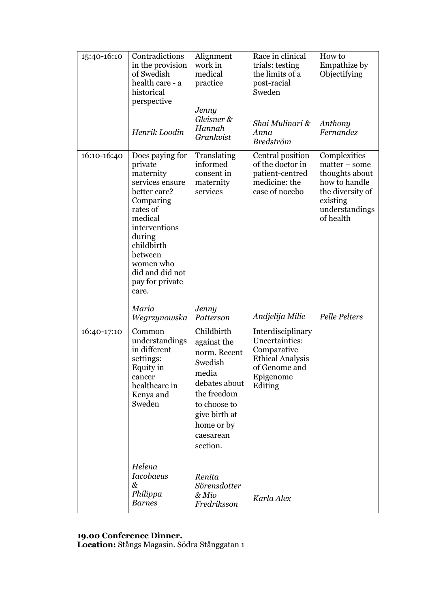| 15:40-16:10 | Contradictions<br>in the provision<br>of Swedish<br>health care - a<br>historical<br>perspective<br>Henrik Loodin                                                                                                              | Alignment<br>work in<br>medical<br>practice<br>Jenny<br>Gleisner &<br>Hannah<br>Grankvist                                                                             | Race in clinical<br>trials: testing<br>the limits of a<br>post-racial<br>Sweden<br>Shai Mulinari &<br>Anna<br><b>Bredström</b> | How to<br>Empathize by<br>Objectifying<br>Anthony<br>Fernandez                                                                    |
|-------------|--------------------------------------------------------------------------------------------------------------------------------------------------------------------------------------------------------------------------------|-----------------------------------------------------------------------------------------------------------------------------------------------------------------------|--------------------------------------------------------------------------------------------------------------------------------|-----------------------------------------------------------------------------------------------------------------------------------|
| 16:10-16:40 | Does paying for<br>private<br>maternity<br>services ensure<br>better care?<br>Comparing<br>rates of<br>medical<br>interventions<br>during<br>childbirth<br>between<br>women who<br>did and did not<br>pay for private<br>care. | Translating<br>informed<br>consent in<br>maternity<br>services                                                                                                        | Central position<br>of the doctor in<br>patient-centred<br>medicine: the<br>case of nocebo                                     | Complexities<br>$matter - some$<br>thoughts about<br>how to handle<br>the diversity of<br>existing<br>understandings<br>of health |
|             | Maria<br>Wegrzynowska                                                                                                                                                                                                          | Jenny<br>Patterson                                                                                                                                                    | Andjelija Milic                                                                                                                | <b>Pelle Pelters</b>                                                                                                              |
| 16:40-17:10 | Common<br>understandings<br>in different<br>settings:<br>Equity in<br>cancer<br>healthcare in<br>Kenya and<br>Sweden                                                                                                           | Childbirth<br>against the<br>norm. Recent<br>Swedish<br>media<br>debates about<br>the freedom<br>to choose to<br>give birth at<br>home or by<br>caesarean<br>section. | Interdisciplinary<br>Uncertainties:<br>Comparative<br><b>Ethical Analysis</b><br>of Genome and<br>Epigenome<br>Editing         |                                                                                                                                   |
|             | Helena<br><b>Iacobaeus</b><br>&<br>Philippa<br><b>Barnes</b>                                                                                                                                                                   | Renita<br>Sörensdotter<br>& Mio<br>Fredriksson                                                                                                                        | Karla Alex                                                                                                                     |                                                                                                                                   |

#### **19.00 Conference Dinner.**

**Location:** Stångs Magasin. Södra Stånggatan 1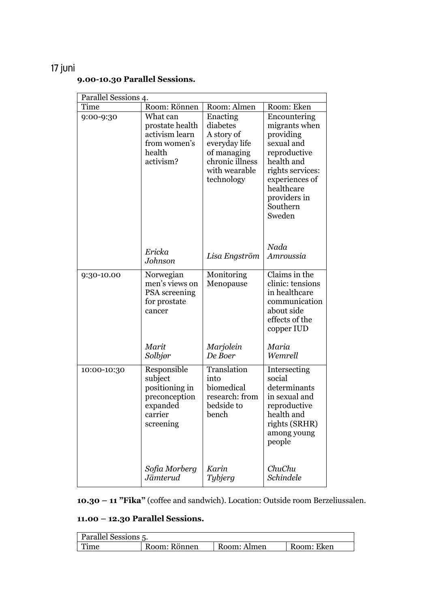# 17 juni

| Parallel Sessions 4. |                 |                                  |                                |  |  |
|----------------------|-----------------|----------------------------------|--------------------------------|--|--|
| Time                 | Room: Rönnen    | Room: Almen                      | Room: Eken                     |  |  |
| 9:00-9:30            | What can        | Enacting                         | Encountering                   |  |  |
|                      | prostate health | diabetes                         | migrants when                  |  |  |
|                      | activism learn  | A story of                       | providing                      |  |  |
|                      | from women's    | everyday life                    | sexual and                     |  |  |
|                      | health          | of managing                      | reproductive                   |  |  |
|                      | activism?       | chronic illness<br>with wearable | health and<br>rights services: |  |  |
|                      |                 | technology                       | experiences of                 |  |  |
|                      |                 |                                  | healthcare                     |  |  |
|                      |                 |                                  | providers in                   |  |  |
|                      |                 |                                  | Southern                       |  |  |
|                      |                 |                                  | Sweden                         |  |  |
|                      |                 |                                  |                                |  |  |
|                      |                 |                                  |                                |  |  |
|                      |                 |                                  | Nada                           |  |  |
|                      | Ericka          | Lisa Engström                    | Amroussia                      |  |  |
|                      | Johnson         |                                  |                                |  |  |
| 9:30-10.00           | Norwegian       | Monitoring                       | Claims in the                  |  |  |
|                      | men's views on  | Menopause                        | clinic: tensions               |  |  |
|                      | PSA screening   |                                  | in healthcare                  |  |  |
|                      | for prostate    |                                  | communication                  |  |  |
|                      | cancer          |                                  | about side                     |  |  |
|                      |                 |                                  | effects of the                 |  |  |
|                      |                 |                                  | copper IUD                     |  |  |
|                      | Marit           | Marjolein                        | Maria                          |  |  |
|                      | Solbjør         | De Boer                          | Wemrell                        |  |  |
| 10:00-10:30          | Responsible     | Translation                      | Intersecting                   |  |  |
|                      | subject         | into                             | social                         |  |  |
|                      | positioning in  | biomedical                       | determinants                   |  |  |
|                      | preconception   | research: from                   | in sexual and                  |  |  |
|                      | expanded        | bedside to                       | reproductive                   |  |  |
|                      | carrier         | bench                            | health and                     |  |  |
|                      | screening       |                                  | rights (SRHR)                  |  |  |
|                      |                 |                                  | among young<br>people          |  |  |
|                      |                 |                                  |                                |  |  |
|                      | Sofia Morberg   | Karin                            | ChuChu                         |  |  |
|                      | Jämterud        | Tybjerg                          | Schindele                      |  |  |
|                      |                 |                                  |                                |  |  |

**9.00-10.30 Parallel Sessions.**

**10.30 – 11 "Fika"** (coffee and sandwich). Location: Outside room Berzeliussalen.

# **11.00 – 12.30 Parallel Sessions.**

| <b>Parallel Sessions 5.</b> |              |             |            |  |
|-----------------------------|--------------|-------------|------------|--|
| Time                        | Room: Rönnen | Room: Almen | Room: Eken |  |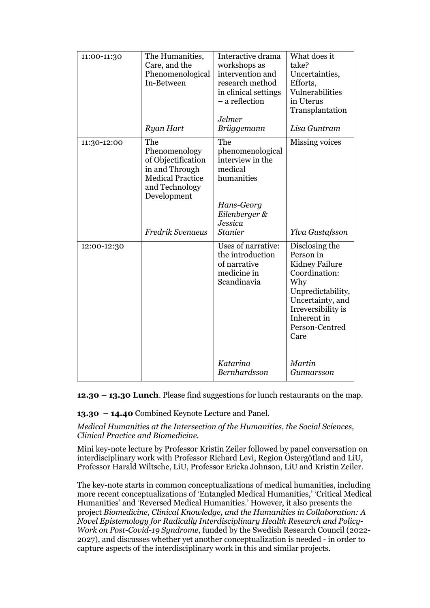| 11:00-11:30 | The Humanities,<br>Care, and the<br>Phenomenological<br>In-Between<br>Ryan Hart                                                                     | Interactive drama<br>workshops as<br>intervention and<br>research method<br>in clinical settings<br>- a reflection<br>Jelmer<br>Brüggemann | What does it<br>take?<br>Uncertainties,<br>Efforts,<br>Vulnerabilities<br>in Uterus<br>Transplantation<br>Lisa Guntram                                                                                |
|-------------|-----------------------------------------------------------------------------------------------------------------------------------------------------|--------------------------------------------------------------------------------------------------------------------------------------------|-------------------------------------------------------------------------------------------------------------------------------------------------------------------------------------------------------|
| 11:30-12:00 | The<br>Phenomenology<br>of Objectification<br>in and Through<br><b>Medical Practice</b><br>and Technology<br>Development<br><b>Fredrik Svenaeus</b> | The<br>phenomenological<br>interview in the<br>medical<br>humanities<br>Hans-Georg<br>Eilenberger &<br>Jessica<br><b>Stanier</b>           | Missing voices<br>Ylva Gustafsson                                                                                                                                                                     |
| 12:00-12:30 |                                                                                                                                                     | Uses of narrative:<br>the introduction<br>of narrative<br>medicine in<br>Scandinavia<br>Katarina<br>Bernhardsson                           | Disclosing the<br>Person in<br>Kidney Failure<br>Coordination:<br>Why<br>Unpredictability,<br>Uncertainty, and<br>Irreversibility is<br>Inherent in<br>Person-Centred<br>Care<br>Martin<br>Gunnarsson |

**12.30 – 13.30 Lunch**. Please find suggestions for lunch restaurants on the map.

**13.30 – 14.40** Combined Keynote Lecture and Panel.

*Medical Humanities at the Intersection of the Humanities, the Social Sciences, Clinical Practice and Biomedicine.*

Mini key-note lecture by Professor Kristin Zeiler followed by panel conversation on interdisciplinary work with Professor Richard Levi, Region Östergötland and LiU, Professor Harald Wiltsche, LiU, Professor Ericka Johnson, LiU and Kristin Zeiler.

The key-note starts in common conceptualizations of medical humanities, including more recent conceptualizations of 'Entangled Medical Humanities,' 'Critical Medical Humanities' and 'Reversed Medical Humanities.' However, it also presents the project *Biomedicine, Clinical Knowledge, and the Humanities in Collaboration: A Novel Epistemology for Radically Interdisciplinary Health Research and Policy-Work on Post-Covid-19 Syndrome*, funded by the Swedish Research Council (2022- 2027), and discusses whether yet another conceptualization is needed - in order to capture aspects of the interdisciplinary work in this and similar projects.